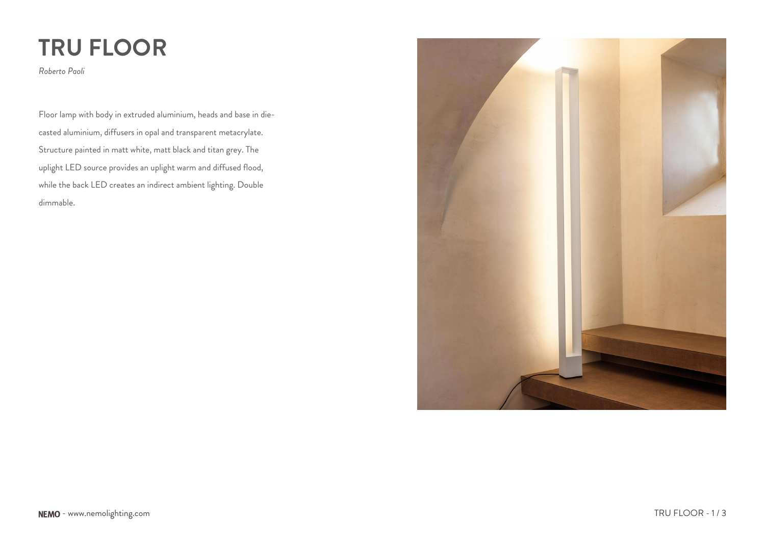# **TRU FLOOR**

*Roberto Paoli*

Floor lamp with body in extruded aluminium, heads and base in diecasted aluminium, diffusers in opal and transparent metacrylate. Structure painted in matt white, matt black and titan grey. The uplight LED source provides an uplight warm and diffused flood, while the back LED creates an indirect ambient lighting. Double dimmable.

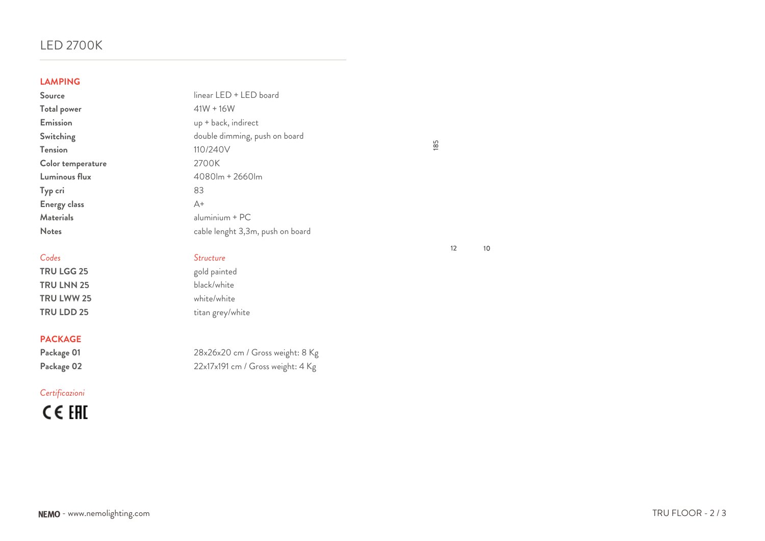# LED 2700K

### **LAMPING**

**Total power Emission Switching Tension Color temperature** Luminous flux **Typ cri Energy class Materials** 

**TRU LGG 25** gold painted **TRU LNN 25** black/white **TRU LWW 25** white/white

### **PACKAGE**

## *Certificazioni*

CE EHI

| <b>LAMPING</b>      |                                  |
|---------------------|----------------------------------|
| Source              | linear LED + LED board           |
| <b>Total power</b>  | $41W + 16W$                      |
| <b>Emission</b>     | up + back, indirect              |
| <b>Switching</b>    | double dimming, push on board    |
| Tension             | 110/240V                         |
| Color temperature   | 2700K                            |
| Luminous flux       | 4080lm + 2660lm                  |
| Typ cri             | 83                               |
| <b>Energy class</b> | $A+$                             |
| <b>Materials</b>    | $aluminium + PC$                 |
| <b>Notes</b>        | cable lenght 3,3m, push on board |
|                     |                                  |

# *Codes Structure*

**TRU LDD 25** titan grey/white

Package 01 28x26x20 cm / Gross weight: 8 Kg Package 02 22x17x191 cm / Gross weight: 4 Kg